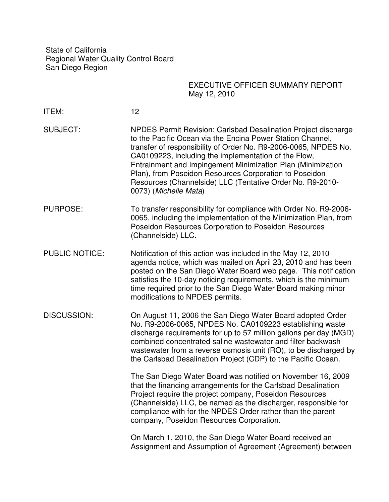State of California Regional Water Quality Control Board San Diego Region

## EXECUTIVE OFFICER SUMMARY REPORT May 12, 2010

- ITEM: 12
- SUBJECT: NPDES Permit Revision: Carlsbad Desalination Project discharge to the Pacific Ocean via the Encina Power Station Channel, transfer of responsibility of Order No. R9-2006-0065, NPDES No. CA0109223, including the implementation of the Flow, Entrainment and Impingement Minimization Plan (Minimization Plan), from Poseidon Resources Corporation to Poseidon Resources (Channelside) LLC (Tentative Order No. R9-2010- 0073) (Michelle Mata)
- PURPOSE: To transfer responsibility for compliance with Order No. R9-2006- 0065, including the implementation of the Minimization Plan, from Poseidon Resources Corporation to Poseidon Resources (Channelside) LLC.
- PUBLIC NOTICE: Notification of this action was included in the May 12, 2010 agenda notice, which was mailed on April 23, 2010 and has been posted on the San Diego Water Board web page. This notification satisfies the 10-day noticing requirements, which is the minimum time required prior to the San Diego Water Board making minor modifications to NPDES permits.
- DISCUSSION: On August 11, 2006 the San Diego Water Board adopted Order No. R9-2006-0065, NPDES No. CA0109223 establishing waste discharge requirements for up to 57 million gallons per day (MGD) combined concentrated saline wastewater and filter backwash wastewater from a reverse osmosis unit (RO), to be discharged by the Carlsbad Desalination Project (CDP) to the Pacific Ocean.

The San Diego Water Board was notified on November 16, 2009 that the financing arrangements for the Carlsbad Desalination Project require the project company, Poseidon Resources (Channelside) LLC, be named as the discharger, responsible for compliance with for the NPDES Order rather than the parent company, Poseidon Resources Corporation.

On March 1, 2010, the San Diego Water Board received an Assignment and Assumption of Agreement (Agreement) between